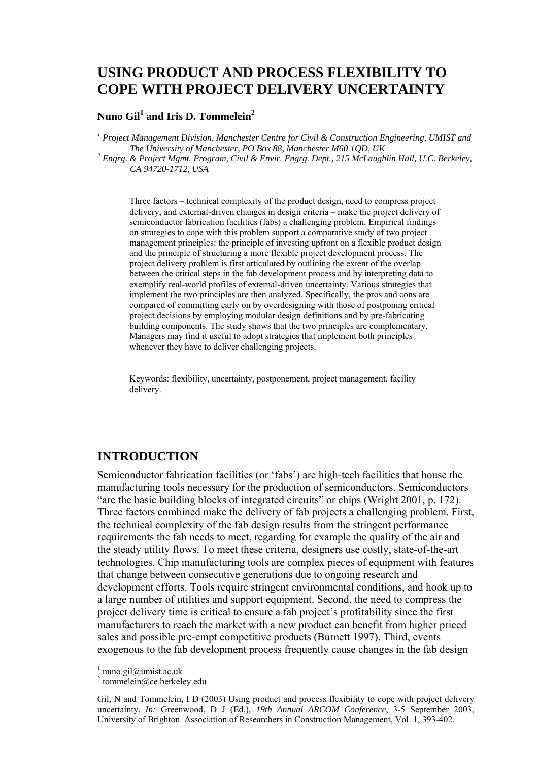# **USING PRODUCT AND PROCESS FLEXIBILITY TO COPE WITH PROJECT DELIVERY UNCERTAINTY**

## $\bm{\mathrm{Nuno}}$  Gil $^1$  and Iris D. Tommelein $^2$

<sup>1</sup> Project Management Division, Manchester Centre for Civil & Construction Engineering, UMIST and *The University of Manchester, PO Box 88, Manchester M60 1QD, UK 2*

 *Engrg. & Project Mgmt. Program, Civil & Envir. Engrg. Dept., 215 McLaughlin Hall, U.C. Berkeley, CA 94720-1712, USA* 

Three factors – technical complexity of the product design, need to compress project delivery, and external-driven changes in design criteria – make the project delivery of semiconductor fabrication facilities (fabs) a challenging problem. Empirical findings on strategies to cope with this problem support a comparative study of two project management principles: the principle of investing upfront on a flexible product design and the principle of structuring a more flexible project development process. The project delivery problem is first articulated by outlining the extent of the overlap between the critical steps in the fab development process and by interpreting data to exemplify real-world profiles of external-driven uncertainty. Various strategies that implement the two principles are then analyzed. Specifically, the pros and cons are compared of committing early on by overdesigning with those of postponing critical project decisions by employing modular design definitions and by pre-fabricating building components. The study shows that the two principles are complementary. Managers may find it useful to adopt strategies that implement both principles whenever they have to deliver challenging projects.

Keywords: flexibility, uncertainty, postponement, project management, facility delivery.

## **INTRODUCTION**

Semiconductor fabrication facilities (or 'fabs') are high-tech facilities that house the manufacturing tools necessary for the production of semiconductors. Semiconductors "are the basic building blocks of integrated circuits" or chips (Wright 2001, p. 172). Three factors combined make the delivery of fab projects a challenging problem. First, the technical complexity of the fab design results from the stringent performance requirements the fab needs to meet, regarding for example the quality of the air and the steady utility flows. To meet these criteria, designers use costly, state-of-the-art technologies. Chip manufacturing tools are complex pieces of equipment with features that change between consecutive generations due to ongoing research and development efforts. Tools require stringent environmental conditions, and hook up to a large number of utilities and support equipment. Second, the need to compress the project delivery time is critical to ensure a fab project's profitability since the first manufacturers to reach the market with a new product can benefit from higher priced sales and possible pre-empt competitive products (Burnett 1997). Third, events exogenous to the fab development process frequently cause changes in the fab design

 $\frac{1}{1}$ nuno.gil@umist.ac.uk

 $2$  tommelein@ce.berkeley.edu

Gil, N and Tommelein, I D (2003) Using product and process flexibility to cope with project delivery uncertainty. *In:* Greenwood, D J (Ed.), *19th Annual ARCOM Conference*, 3-5 September 2003, University of Brighton. Association of Researchers in Construction Management, Vol. 1, 393-402.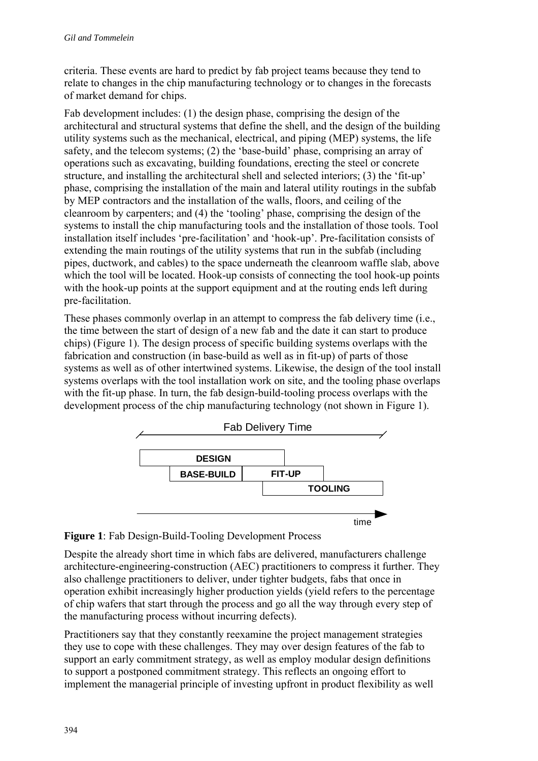criteria. These events are hard to predict by fab project teams because they tend to relate to changes in the chip manufacturing technology or to changes in the forecasts of market demand for chips.

Fab development includes: (1) the design phase, comprising the design of the architectural and structural systems that define the shell, and the design of the building utility systems such as the mechanical, electrical, and piping (MEP) systems, the life safety, and the telecom systems; (2) the 'base-build' phase, comprising an array of operations such as excavating, building foundations, erecting the steel or concrete structure, and installing the architectural shell and selected interiors; (3) the 'fit-up' phase, comprising the installation of the main and lateral utility routings in the subfab by MEP contractors and the installation of the walls, floors, and ceiling of the cleanroom by carpenters; and (4) the 'tooling' phase, comprising the design of the systems to install the chip manufacturing tools and the installation of those tools. Tool installation itself includes 'pre-facilitation' and 'hook-up'. Pre-facilitation consists of extending the main routings of the utility systems that run in the subfab (including pipes, ductwork, and cables) to the space underneath the cleanroom waffle slab, above which the tool will be located. Hook-up consists of connecting the tool hook-up points with the hook-up points at the support equipment and at the routing ends left during pre-facilitation.

These phases commonly overlap in an attempt to compress the fab delivery time (i.e., the time between the start of design of a new fab and the date it can start to produce chips) (Figure 1). The design process of specific building systems overlaps with the fabrication and construction (in base-build as well as in fit-up) of parts of those systems as well as of other intertwined systems. Likewise, the design of the tool install systems overlaps with the tool installation work on site, and the tooling phase overlaps with the fit-up phase. In turn, the fab design-build-tooling process overlaps with the development process of the chip manufacturing technology (not shown in Figure 1).





Despite the already short time in which fabs are delivered, manufacturers challenge architecture-engineering-construction (AEC) practitioners to compress it further. They also challenge practitioners to deliver, under tighter budgets, fabs that once in operation exhibit increasingly higher production yields (yield refers to the percentage of chip wafers that start through the process and go all the way through every step of the manufacturing process without incurring defects).

Practitioners say that they constantly reexamine the project management strategies they use to cope with these challenges. They may over design features of the fab to support an early commitment strategy, as well as employ modular design definitions to support a postponed commitment strategy. This reflects an ongoing effort to implement the managerial principle of investing upfront in product flexibility as well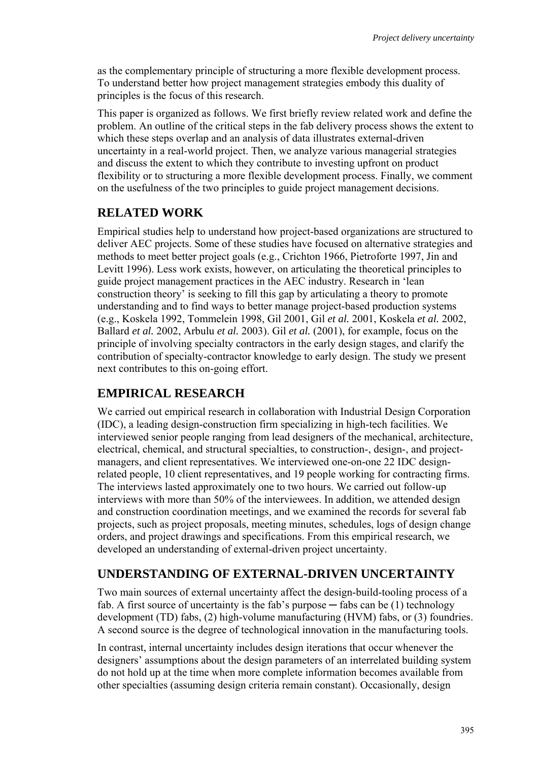as the complementary principle of structuring a more flexible development process. To understand better how project management strategies embody this duality of principles is the focus of this research.

This paper is organized as follows. We first briefly review related work and define the problem. An outline of the critical steps in the fab delivery process shows the extent to which these steps overlap and an analysis of data illustrates external-driven uncertainty in a real-world project. Then, we analyze various managerial strategies and discuss the extent to which they contribute to investing upfront on product flexibility or to structuring a more flexible development process. Finally, we comment on the usefulness of the two principles to guide project management decisions.

# **RELATED WORK**

Empirical studies help to understand how project-based organizations are structured to deliver AEC projects. Some of these studies have focused on alternative strategies and methods to meet better project goals (e.g., Crichton 1966, Pietroforte 1997, Jin and Levitt 1996). Less work exists, however, on articulating the theoretical principles to guide project management practices in the AEC industry. Research in 'lean construction theory' is seeking to fill this gap by articulating a theory to promote understanding and to find ways to better manage project-based production systems (e.g., Koskela 1992, Tommelein 1998, Gil 2001, Gil *et al.* 2001, Koskela *et al.* 2002, Ballard *et al.* 2002, Arbulu *et al.* 2003). Gil *et al.* (2001), for example, focus on the principle of involving specialty contractors in the early design stages, and clarify the contribution of specialty-contractor knowledge to early design. The study we present next contributes to this on-going effort.

# **EMPIRICAL RESEARCH**

We carried out empirical research in collaboration with Industrial Design Corporation (IDC), a leading design-construction firm specializing in high-tech facilities. We interviewed senior people ranging from lead designers of the mechanical, architecture, electrical, chemical, and structural specialties, to construction-, design-, and projectmanagers, and client representatives. We interviewed one-on-one 22 IDC designrelated people, 10 client representatives, and 19 people working for contracting firms. The interviews lasted approximately one to two hours. We carried out follow-up interviews with more than 50% of the interviewees. In addition, we attended design and construction coordination meetings, and we examined the records for several fab projects, such as project proposals, meeting minutes, schedules, logs of design change orders, and project drawings and specifications. From this empirical research, we developed an understanding of external-driven project uncertainty.

# **UNDERSTANDING OF EXTERNAL-DRIVEN UNCERTAINTY**

Two main sources of external uncertainty affect the design-build-tooling process of a fab. A first source of uncertainty is the fab's purpose  $-$  fabs can be (1) technology development (TD) fabs, (2) high-volume manufacturing (HVM) fabs, or (3) foundries. A second source is the degree of technological innovation in the manufacturing tools.

In contrast, internal uncertainty includes design iterations that occur whenever the designers' assumptions about the design parameters of an interrelated building system do not hold up at the time when more complete information becomes available from other specialties (assuming design criteria remain constant). Occasionally, design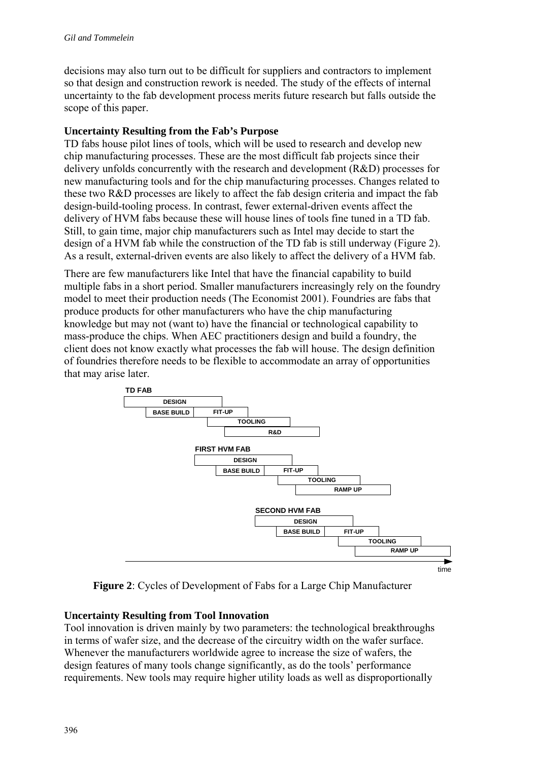decisions may also turn out to be difficult for suppliers and contractors to implement so that design and construction rework is needed. The study of the effects of internal uncertainty to the fab development process merits future research but falls outside the scope of this paper.

### **Uncertainty Resulting from the Fab's Purpose**

TD fabs house pilot lines of tools, which will be used to research and develop new chip manufacturing processes. These are the most difficult fab projects since their delivery unfolds concurrently with the research and development (R&D) processes for new manufacturing tools and for the chip manufacturing processes. Changes related to these two R&D processes are likely to affect the fab design criteria and impact the fab design-build-tooling process. In contrast, fewer external-driven events affect the delivery of HVM fabs because these will house lines of tools fine tuned in a TD fab. Still, to gain time, major chip manufacturers such as Intel may decide to start the design of a HVM fab while the construction of the TD fab is still underway (Figure 2). As a result, external-driven events are also likely to affect the delivery of a HVM fab.

There are few manufacturers like Intel that have the financial capability to build multiple fabs in a short period. Smaller manufacturers increasingly rely on the foundry model to meet their production needs (The Economist 2001). Foundries are fabs that produce products for other manufacturers who have the chip manufacturing knowledge but may not (want to) have the financial or technological capability to mass-produce the chips. When AEC practitioners design and build a foundry, the client does not know exactly what processes the fab will house. The design definition of foundries therefore needs to be flexible to accommodate an array of opportunities that may arise later.



**Figure 2**: Cycles of Development of Fabs for a Large Chip Manufacturer

## **Uncertainty Resulting from Tool Innovation**

Tool innovation is driven mainly by two parameters: the technological breakthroughs in terms of wafer size, and the decrease of the circuitry width on the wafer surface. Whenever the manufacturers worldwide agree to increase the size of wafers, the design features of many tools change significantly, as do the tools' performance requirements. New tools may require higher utility loads as well as disproportionally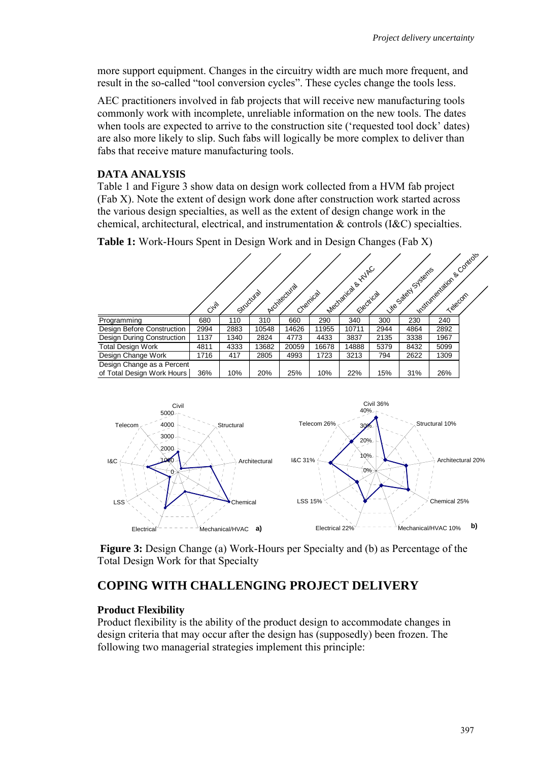more support equipment. Changes in the circuitry width are much more frequent, and result in the so-called "tool conversion cycles". These cycles change the tools less.

AEC practitioners involved in fab projects that will receive new manufacturing tools commonly work with incomplete, unreliable information on the new tools. The dates when tools are expected to arrive to the construction site ('requested tool dock' dates) are also more likely to slip. Such fabs will logically be more complex to deliver than fabs that receive mature manufacturing tools.

## **DATA ANALYSIS**

Table 1 and Figure 3 show data on design work collected from a HVM fab project (Fab X). Note the extent of design work done after construction work started across the various design specialties, as well as the extent of design change work in the chemical, architectural, electrical, and instrumentation & controls (I&C) specialties.

**Table 1:** Work-Hours Spent in Design Work and in Design Changes (Fab X)

|                            |      | Structural |       | Architectural<br>Chemical |       | Metamoriza & KilkC<br>Electrical |                          | Sakey Systems | Institutionalistich & Controls |  |
|----------------------------|------|------------|-------|---------------------------|-------|----------------------------------|--------------------------|---------------|--------------------------------|--|
|                            | Gil  |            |       |                           |       |                                  | <b><i><u>Vie</u></i></b> |               |                                |  |
| Programming                | 680  | 110        | 310   | 660                       | 290   | 340                              | 300                      | 230           | 240                            |  |
| Design Before Construction | 2994 | 2883       | 10548 | 14626                     | 11955 | 10711                            | 2944                     | 4864          | 2892                           |  |
| Design During Construction | 1137 | 1340       | 2824  | 4773                      | 4433  | 3837                             | 2135                     | 3338          | 1967                           |  |
| <b>Total Design Work</b>   | 4811 | 4333       | 13682 | 20059                     | 16678 | 14888                            | 5379                     | 8432          | 5099                           |  |
| Design Change Work         | 1716 | 417        | 2805  | 4993                      | 1723  | 3213                             | 794                      | 2622          | 1309                           |  |
| Design Change as a Percent |      |            |       |                           |       |                                  |                          |               |                                |  |
| of Total Design Work Hours | 36%  | 10%        | 20%   | 25%                       | 10%   | 22%                              | 15%                      | 31%           | 26%                            |  |



**Figure 3:** Design Change (a) Work-Hours per Specialty and (b) as Percentage of the Total Design Work for that Specialty

# **COPING WITH CHALLENGING PROJECT DELIVERY**

## **Product Flexibility**

Product flexibility is the ability of the product design to accommodate changes in design criteria that may occur after the design has (supposedly) been frozen. The following two managerial strategies implement this principle: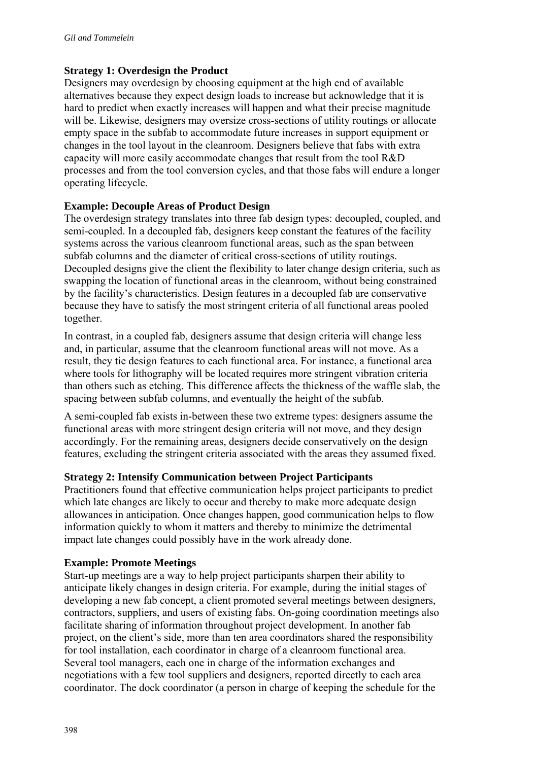### **Strategy 1: Overdesign the Product**

Designers may overdesign by choosing equipment at the high end of available alternatives because they expect design loads to increase but acknowledge that it is hard to predict when exactly increases will happen and what their precise magnitude will be. Likewise, designers may oversize cross-sections of utility routings or allocate empty space in the subfab to accommodate future increases in support equipment or changes in the tool layout in the cleanroom. Designers believe that fabs with extra capacity will more easily accommodate changes that result from the tool R&D processes and from the tool conversion cycles, and that those fabs will endure a longer operating lifecycle.

#### **Example: Decouple Areas of Product Design**

The overdesign strategy translates into three fab design types: decoupled, coupled, and semi-coupled. In a decoupled fab, designers keep constant the features of the facility systems across the various cleanroom functional areas, such as the span between subfab columns and the diameter of critical cross-sections of utility routings. Decoupled designs give the client the flexibility to later change design criteria, such as swapping the location of functional areas in the cleanroom, without being constrained by the facility's characteristics. Design features in a decoupled fab are conservative because they have to satisfy the most stringent criteria of all functional areas pooled together.

In contrast, in a coupled fab, designers assume that design criteria will change less and, in particular, assume that the cleanroom functional areas will not move. As a result, they tie design features to each functional area. For instance, a functional area where tools for lithography will be located requires more stringent vibration criteria than others such as etching. This difference affects the thickness of the waffle slab, the spacing between subfab columns, and eventually the height of the subfab.

A semi-coupled fab exists in-between these two extreme types: designers assume the functional areas with more stringent design criteria will not move, and they design accordingly. For the remaining areas, designers decide conservatively on the design features, excluding the stringent criteria associated with the areas they assumed fixed.

#### **Strategy 2: Intensify Communication between Project Participants**

Practitioners found that effective communication helps project participants to predict which late changes are likely to occur and thereby to make more adequate design allowances in anticipation. Once changes happen, good communication helps to flow information quickly to whom it matters and thereby to minimize the detrimental impact late changes could possibly have in the work already done.

#### **Example: Promote Meetings**

Start-up meetings are a way to help project participants sharpen their ability to anticipate likely changes in design criteria. For example, during the initial stages of developing a new fab concept, a client promoted several meetings between designers, contractors, suppliers, and users of existing fabs. On-going coordination meetings also facilitate sharing of information throughout project development. In another fab project, on the client's side, more than ten area coordinators shared the responsibility for tool installation, each coordinator in charge of a cleanroom functional area. Several tool managers, each one in charge of the information exchanges and negotiations with a few tool suppliers and designers, reported directly to each area coordinator. The dock coordinator (a person in charge of keeping the schedule for the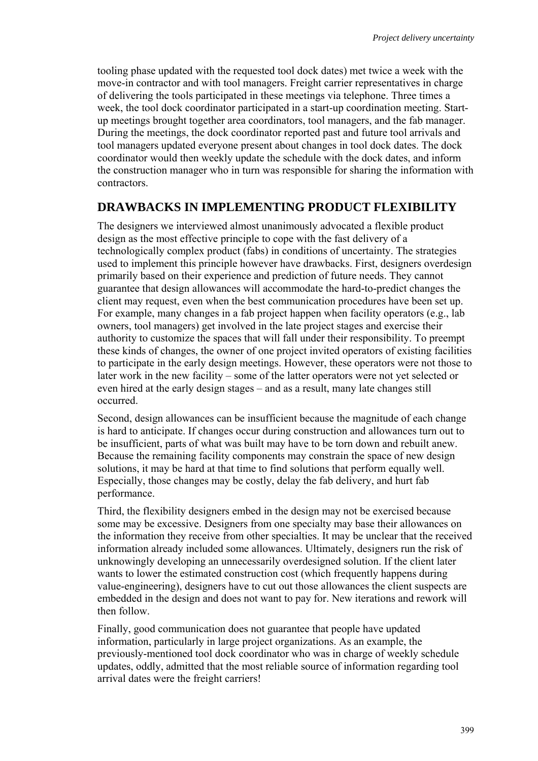tooling phase updated with the requested tool dock dates) met twice a week with the move-in contractor and with tool managers. Freight carrier representatives in charge of delivering the tools participated in these meetings via telephone. Three times a week, the tool dock coordinator participated in a start-up coordination meeting. Startup meetings brought together area coordinators, tool managers, and the fab manager. During the meetings, the dock coordinator reported past and future tool arrivals and tool managers updated everyone present about changes in tool dock dates. The dock coordinator would then weekly update the schedule with the dock dates, and inform the construction manager who in turn was responsible for sharing the information with contractors.

## **DRAWBACKS IN IMPLEMENTING PRODUCT FLEXIBILITY**

The designers we interviewed almost unanimously advocated a flexible product design as the most effective principle to cope with the fast delivery of a technologically complex product (fabs) in conditions of uncertainty. The strategies used to implement this principle however have drawbacks. First, designers overdesign primarily based on their experience and prediction of future needs. They cannot guarantee that design allowances will accommodate the hard-to-predict changes the client may request, even when the best communication procedures have been set up. For example, many changes in a fab project happen when facility operators (e.g., lab owners, tool managers) get involved in the late project stages and exercise their authority to customize the spaces that will fall under their responsibility. To preempt these kinds of changes, the owner of one project invited operators of existing facilities to participate in the early design meetings. However, these operators were not those to later work in the new facility – some of the latter operators were not yet selected or even hired at the early design stages – and as a result, many late changes still occurred.

Second, design allowances can be insufficient because the magnitude of each change is hard to anticipate. If changes occur during construction and allowances turn out to be insufficient, parts of what was built may have to be torn down and rebuilt anew. Because the remaining facility components may constrain the space of new design solutions, it may be hard at that time to find solutions that perform equally well. Especially, those changes may be costly, delay the fab delivery, and hurt fab performance.

Third, the flexibility designers embed in the design may not be exercised because some may be excessive. Designers from one specialty may base their allowances on the information they receive from other specialties. It may be unclear that the received information already included some allowances. Ultimately, designers run the risk of unknowingly developing an unnecessarily overdesigned solution. If the client later wants to lower the estimated construction cost (which frequently happens during value-engineering), designers have to cut out those allowances the client suspects are embedded in the design and does not want to pay for. New iterations and rework will then follow.

Finally, good communication does not guarantee that people have updated information, particularly in large project organizations. As an example, the previously-mentioned tool dock coordinator who was in charge of weekly schedule updates, oddly, admitted that the most reliable source of information regarding tool arrival dates were the freight carriers!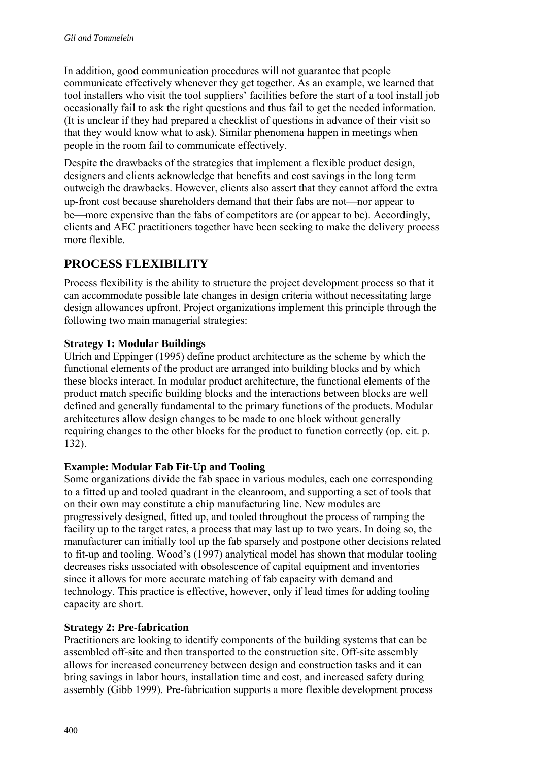In addition, good communication procedures will not guarantee that people communicate effectively whenever they get together. As an example, we learned that tool installers who visit the tool suppliers' facilities before the start of a tool install job occasionally fail to ask the right questions and thus fail to get the needed information. (It is unclear if they had prepared a checklist of questions in advance of their visit so that they would know what to ask). Similar phenomena happen in meetings when people in the room fail to communicate effectively.

Despite the drawbacks of the strategies that implement a flexible product design, designers and clients acknowledge that benefits and cost savings in the long term outweigh the drawbacks. However, clients also assert that they cannot afford the extra up-front cost because shareholders demand that their fabs are not—nor appear to be—more expensive than the fabs of competitors are (or appear to be). Accordingly, clients and AEC practitioners together have been seeking to make the delivery process more flexible.

# **PROCESS FLEXIBILITY**

Process flexibility is the ability to structure the project development process so that it can accommodate possible late changes in design criteria without necessitating large design allowances upfront. Project organizations implement this principle through the following two main managerial strategies:

## **Strategy 1: Modular Buildings**

Ulrich and Eppinger (1995) define product architecture as the scheme by which the functional elements of the product are arranged into building blocks and by which these blocks interact. In modular product architecture, the functional elements of the product match specific building blocks and the interactions between blocks are well defined and generally fundamental to the primary functions of the products. Modular architectures allow design changes to be made to one block without generally requiring changes to the other blocks for the product to function correctly (op. cit. p. 132).

## **Example: Modular Fab Fit-Up and Tooling**

Some organizations divide the fab space in various modules, each one corresponding to a fitted up and tooled quadrant in the cleanroom, and supporting a set of tools that on their own may constitute a chip manufacturing line. New modules are progressively designed, fitted up, and tooled throughout the process of ramping the facility up to the target rates, a process that may last up to two years. In doing so, the manufacturer can initially tool up the fab sparsely and postpone other decisions related to fit-up and tooling. Wood's (1997) analytical model has shown that modular tooling decreases risks associated with obsolescence of capital equipment and inventories since it allows for more accurate matching of fab capacity with demand and technology. This practice is effective, however, only if lead times for adding tooling capacity are short.

## **Strategy 2: Pre-fabrication**

Practitioners are looking to identify components of the building systems that can be assembled off-site and then transported to the construction site. Off-site assembly allows for increased concurrency between design and construction tasks and it can bring savings in labor hours, installation time and cost, and increased safety during assembly (Gibb 1999). Pre-fabrication supports a more flexible development process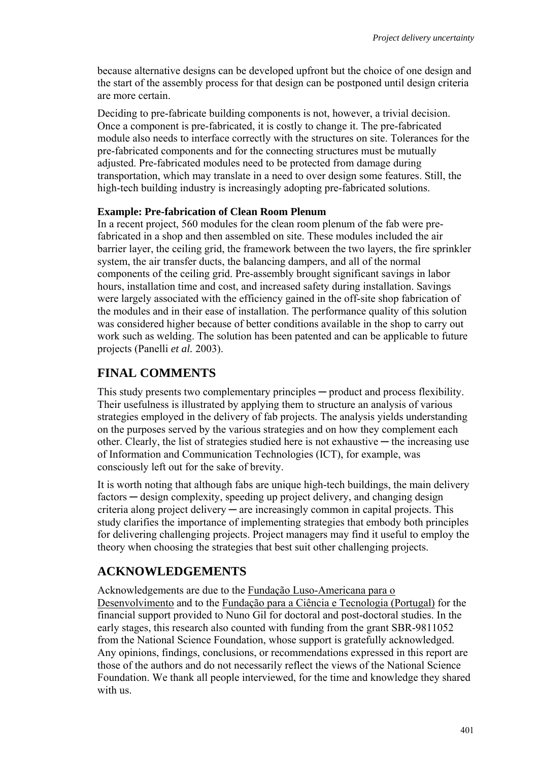because alternative designs can be developed upfront but the choice of one design and the start of the assembly process for that design can be postponed until design criteria are more certain.

Deciding to pre-fabricate building components is not, however, a trivial decision. Once a component is pre-fabricated, it is costly to change it. The pre-fabricated module also needs to interface correctly with the structures on site. Tolerances for the pre-fabricated components and for the connecting structures must be mutually adjusted. Pre-fabricated modules need to be protected from damage during transportation, which may translate in a need to over design some features. Still, the high-tech building industry is increasingly adopting pre-fabricated solutions.

#### **Example: Pre-fabrication of Clean Room Plenum**

In a recent project, 560 modules for the clean room plenum of the fab were prefabricated in a shop and then assembled on site. These modules included the air barrier layer, the ceiling grid, the framework between the two layers, the fire sprinkler system, the air transfer ducts, the balancing dampers, and all of the normal components of the ceiling grid. Pre-assembly brought significant savings in labor hours, installation time and cost, and increased safety during installation. Savings were largely associated with the efficiency gained in the off-site shop fabrication of the modules and in their ease of installation. The performance quality of this solution was considered higher because of better conditions available in the shop to carry out work such as welding. The solution has been patented and can be applicable to future projects (Panelli *et al.* 2003).

# **FINAL COMMENTS**

This study presents two complementary principles — product and process flexibility. Their usefulness is illustrated by applying them to structure an analysis of various strategies employed in the delivery of fab projects. The analysis yields understanding on the purposes served by the various strategies and on how they complement each other. Clearly, the list of strategies studied here is not exhaustive  $-$  the increasing use of Information and Communication Technologies (ICT), for example, was consciously left out for the sake of brevity.

It is worth noting that although fabs are unique high-tech buildings, the main delivery factors ─ design complexity, speeding up project delivery, and changing design criteria along project delivery ─ are increasingly common in capital projects. This study clarifies the importance of implementing strategies that embody both principles for delivering challenging projects. Project managers may find it useful to employ the theory when choosing the strategies that best suit other challenging projects.

# **ACKNOWLEDGEMENTS**

Acknowledgements are due to the Fundação Luso-Americana para o Desenvolvimento and to the Fundação para a Ciência e Tecnologia (Portugal) for the financial support provided to Nuno Gil for doctoral and post-doctoral studies. In the early stages, this research also counted with funding from the grant SBR-9811052 from the National Science Foundation, whose support is gratefully acknowledged. Any opinions, findings, conclusions, or recommendations expressed in this report are those of the authors and do not necessarily reflect the views of the National Science Foundation. We thank all people interviewed, for the time and knowledge they shared with us.